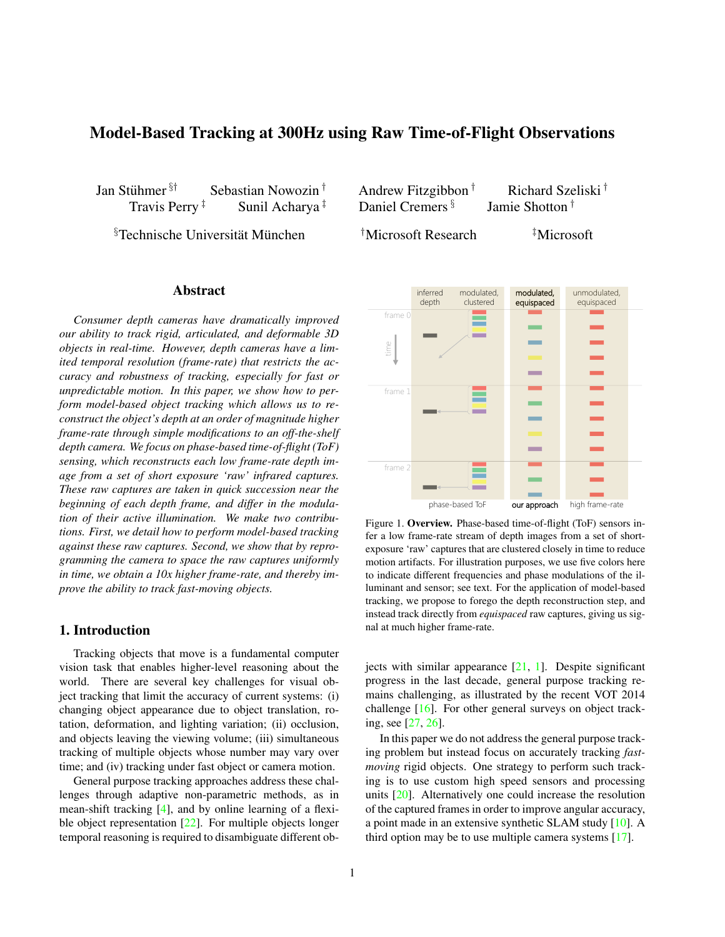# <span id="page-0-1"></span>Model-Based Tracking at 300Hz using Raw Time-of-Flight Observations

Jan Stühmer §† Sebastian Nowozin † Andrew Fitzgibbon † Richard Szeliski † Travis Perry<sup> $\ddagger$ </sup> Sunil Acharya<sup> $\ddagger$ </sup> Daniel Cremers<sup>§</sup>

 $§$ Technische Universität München

### Abstract

*Consumer depth cameras have dramatically improved our ability to track rigid, articulated, and deformable 3D objects in real-time. However, depth cameras have a limited temporal resolution (frame-rate) that restricts the accuracy and robustness of tracking, especially for fast or unpredictable motion. In this paper, we show how to perform model-based object tracking which allows us to reconstruct the object's depth at an order of magnitude higher frame-rate through simple modifications to an off-the-shelf depth camera. We focus on phase-based time-of-flight (ToF) sensing, which reconstructs each low frame-rate depth image from a set of short exposure 'raw' infrared captures. These raw captures are taken in quick succession near the beginning of each depth frame, and differ in the modulation of their active illumination. We make two contributions. First, we detail how to perform model-based tracking against these raw captures. Second, we show that by reprogramming the camera to space the raw captures uniformly in time, we obtain a 10x higher frame-rate, and thereby improve the ability to track fast-moving objects.*

### 1. Introduction

Tracking objects that move is a fundamental computer vision task that enables higher-level reasoning about the world. There are several key challenges for visual object tracking that limit the accuracy of current systems: (i) changing object appearance due to object translation, rotation, deformation, and lighting variation; (ii) occlusion, and objects leaving the viewing volume; (iii) simultaneous tracking of multiple objects whose number may vary over time; and (iv) tracking under fast object or camera motion.

General purpose tracking approaches address these challenges through adaptive non-parametric methods, as in mean-shift tracking [\[4\]](#page-7-0), and by online learning of a flexible object representation [\[22\]](#page-8-0). For multiple objects longer temporal reasoning is required to disambiguate different ob-

Jamie Shotton †

†Microsoft Research ‡Microsoft



<span id="page-0-0"></span>Figure 1. Overview. Phase-based time-of-flight (ToF) sensors infer a low frame-rate stream of depth images from a set of shortexposure 'raw' captures that are clustered closely in time to reduce motion artifacts. For illustration purposes, we use five colors here to indicate different frequencies and phase modulations of the illuminant and sensor; see text. For the application of model-based tracking, we propose to forego the depth reconstruction step, and instead track directly from *equispaced* raw captures, giving us signal at much higher frame-rate.

jects with similar appearance [\[21,](#page-8-1) [1\]](#page-7-1). Despite significant progress in the last decade, general purpose tracking remains challenging, as illustrated by the recent VOT 2014 challenge [\[16\]](#page-8-2). For other general surveys on object tracking, see [\[27,](#page-8-3) [26\]](#page-8-4).

In this paper we do not address the general purpose tracking problem but instead focus on accurately tracking *fastmoving* rigid objects. One strategy to perform such tracking is to use custom high speed sensors and processing units [\[20\]](#page-8-5). Alternatively one could increase the resolution of the captured frames in order to improve angular accuracy, a point made in an extensive synthetic SLAM study [\[10\]](#page-7-2). A third option may be to use multiple camera systems [\[17\]](#page-8-6).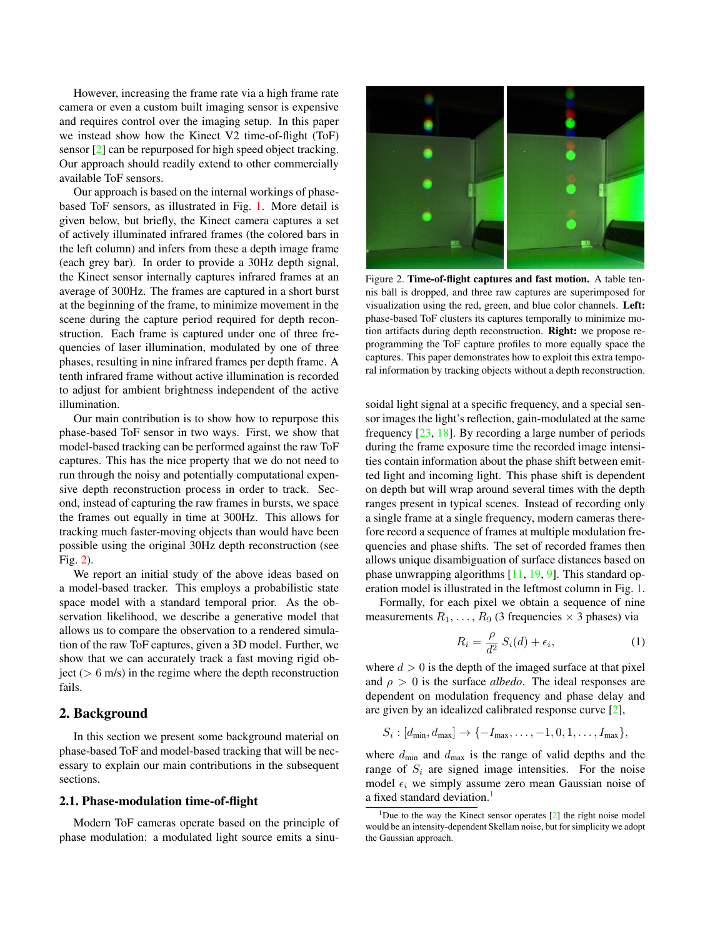<span id="page-1-3"></span>However, increasing the frame rate via a high frame rate camera or even a custom built imaging sensor is expensive and requires control over the imaging setup. In this paper we instead show how the Kinect V2 time-of-flight (ToF) sensor [\[2\]](#page-7-3) can be repurposed for high speed object tracking. Our approach should readily extend to other commercially available ToF sensors.

Our approach is based on the internal workings of phasebased ToF sensors, as illustrated in Fig. [1.](#page-0-0) More detail is given below, but briefly, the Kinect camera captures a set of actively illuminated infrared frames (the colored bars in the left column) and infers from these a depth image frame (each grey bar). In order to provide a 30Hz depth signal, the Kinect sensor internally captures infrared frames at an average of 300Hz. The frames are captured in a short burst at the beginning of the frame, to minimize movement in the scene during the capture period required for depth reconstruction. Each frame is captured under one of three frequencies of laser illumination, modulated by one of three phases, resulting in nine infrared frames per depth frame. A tenth infrared frame without active illumination is recorded to adjust for ambient brightness independent of the active illumination.

Our main contribution is to show how to repurpose this phase-based ToF sensor in two ways. First, we show that model-based tracking can be performed against the raw ToF captures. This has the nice property that we do not need to run through the noisy and potentially computational expensive depth reconstruction process in order to track. Second, instead of capturing the raw frames in bursts, we space the frames out equally in time at 300Hz. This allows for tracking much faster-moving objects than would have been possible using the original 30Hz depth reconstruction (see Fig. [2\)](#page-1-0).

We report an initial study of the above ideas based on a model-based tracker. This employs a probabilistic state space model with a standard temporal prior. As the observation likelihood, we describe a generative model that allows us to compare the observation to a rendered simulation of the raw ToF captures, given a 3D model. Further, we show that we can accurately track a fast moving rigid ob $ject (> 6$  m/s) in the regime where the depth reconstruction fails.

# 2. Background

In this section we present some background material on phase-based ToF and model-based tracking that will be necessary to explain our main contributions in the subsequent sections.

#### 2.1. Phase-modulation time-of-flight

Modern ToF cameras operate based on the principle of phase modulation: a modulated light source emits a sinu-



<span id="page-1-0"></span>Figure 2. Time-of-flight captures and fast motion. A table tennis ball is dropped, and three raw captures are superimposed for visualization using the red, green, and blue color channels. Left: phase-based ToF clusters its captures temporally to minimize motion artifacts during depth reconstruction. Right: we propose reprogramming the ToF capture profiles to more equally space the captures. This paper demonstrates how to exploit this extra temporal information by tracking objects without a depth reconstruction.

soidal light signal at a specific frequency, and a special sensor images the light's reflection, gain-modulated at the same frequency [\[23,](#page-8-7) [18\]](#page-8-8). By recording a large number of periods during the frame exposure time the recorded image intensities contain information about the phase shift between emitted light and incoming light. This phase shift is dependent on depth but will wrap around several times with the depth ranges present in typical scenes. Instead of recording only a single frame at a single frequency, modern cameras therefore record a sequence of frames at multiple modulation frequencies and phase shifts. The set of recorded frames then allows unique disambiguation of surface distances based on phase unwrapping algorithms [\[11,](#page-7-4) [19,](#page-8-9) [9\]](#page-7-5). This standard operation model is illustrated in the leftmost column in Fig. [1.](#page-0-0)

Formally, for each pixel we obtain a sequence of nine measurements  $R_1, \ldots, R_9$  (3 frequencies  $\times$  3 phases) via

<span id="page-1-2"></span>
$$
R_i = \frac{\rho}{d^2} S_i(d) + \epsilon_i,
$$
\n(1)

where  $d > 0$  is the depth of the imaged surface at that pixel and  $\rho > 0$  is the surface *albedo*. The ideal responses are dependent on modulation frequency and phase delay and are given by an idealized calibrated response curve [\[2\]](#page-7-3),

 $S_i: [d_{\min}, d_{\max}] \to \{-I_{\max}, \ldots, -1, 0, 1, \ldots, I_{\max}\},$ 

where  $d_{\text{min}}$  and  $d_{\text{max}}$  is the range of valid depths and the range of  $S_i$  are signed image intensities. For the noise model  $\epsilon_i$  we simply assume zero mean Gaussian noise of a fixed standard deviation.<sup>[1](#page-1-1)</sup>

<span id="page-1-1"></span><sup>&</sup>lt;sup>1</sup>Due to the way the Kinect sensor operates  $\lceil 2 \rceil$  the right noise model would be an intensity-dependent Skellam noise, but for simplicity we adopt the Gaussian approach.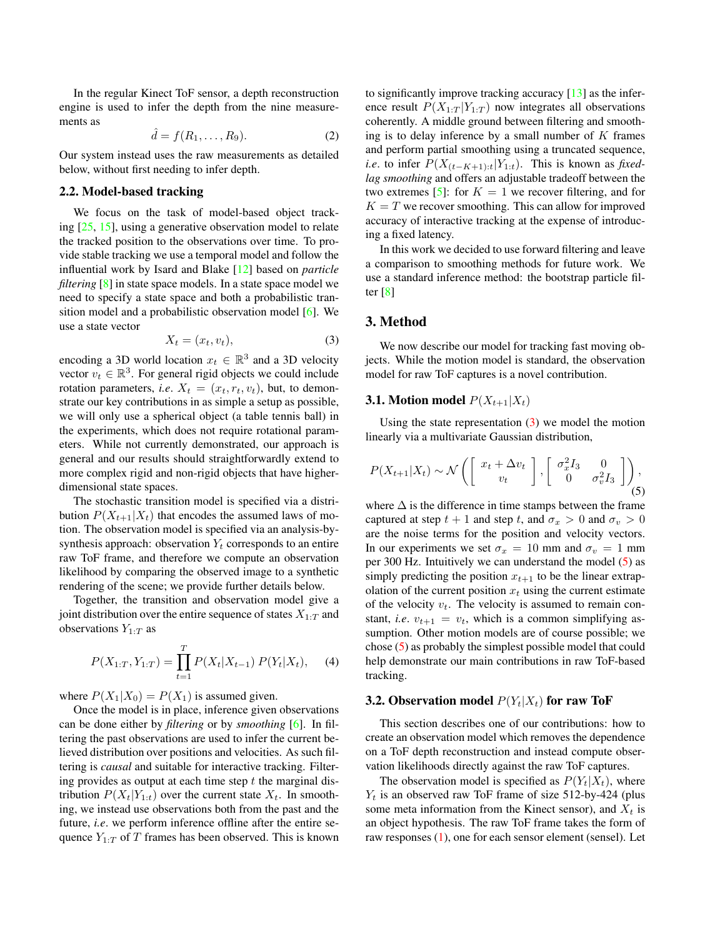<span id="page-2-2"></span>In the regular Kinect ToF sensor, a depth reconstruction engine is used to infer the depth from the nine measurements as

$$
\hat{d} = f(R_1, \dots, R_9). \tag{2}
$$

Our system instead uses the raw measurements as detailed below, without first needing to infer depth.

#### 2.2. Model-based tracking

We focus on the task of model-based object tracking  $[25, 15]$  $[25, 15]$  $[25, 15]$ , using a generative observation model to relate the tracked position to the observations over time. To provide stable tracking we use a temporal model and follow the influential work by Isard and Blake [\[12\]](#page-7-6) based on *particle filtering* [\[8\]](#page-7-7) in state space models. In a state space model we need to specify a state space and both a probabilistic transition model and a probabilistic observation model [\[6\]](#page-7-8). We use a state vector

<span id="page-2-0"></span>
$$
X_t = (x_t, v_t), \tag{3}
$$

encoding a 3D world location  $x_t \in \mathbb{R}^3$  and a 3D velocity vector  $v_t \in \mathbb{R}^3$ . For general rigid objects we could include rotation parameters, *i.e.*  $X_t = (x_t, r_t, v_t)$ , but, to demonstrate our key contributions in as simple a setup as possible, we will only use a spherical object (a table tennis ball) in the experiments, which does not require rotational parameters. While not currently demonstrated, our approach is general and our results should straightforwardly extend to more complex rigid and non-rigid objects that have higherdimensional state spaces.

The stochastic transition model is specified via a distribution  $P(X_{t+1}|X_t)$  that encodes the assumed laws of motion. The observation model is specified via an analysis-bysynthesis approach: observation  $Y_t$  corresponds to an entire raw ToF frame, and therefore we compute an observation likelihood by comparing the observed image to a synthetic rendering of the scene; we provide further details below.

Together, the transition and observation model give a joint distribution over the entire sequence of states  $X_{1:T}$  and observations  $Y_{1:T}$  as

$$
P(X_{1:T}, Y_{1:T}) = \prod_{t=1}^{T} P(X_t | X_{t-1}) P(Y_t | X_t), \quad (4)
$$

where  $P(X_1|X_0) = P(X_1)$  is assumed given.

Once the model is in place, inference given observations can be done either by *filtering* or by *smoothing* [\[6\]](#page-7-8). In filtering the past observations are used to infer the current believed distribution over positions and velocities. As such filtering is *causal* and suitable for interactive tracking. Filtering provides as output at each time step  $t$  the marginal distribution  $P(X_t|Y_{1:t})$  over the current state  $X_t$ . In smoothing, we instead use observations both from the past and the future, *i.e*. we perform inference offline after the entire sequence  $Y_{1:T}$  of T frames has been observed. This is known

to significantly improve tracking accuracy [\[13\]](#page-7-9) as the inference result  $P(X_{1:T} | Y_{1:T})$  now integrates all observations coherently. A middle ground between filtering and smoothing is to delay inference by a small number of  $K$  frames and perform partial smoothing using a truncated sequence, *i.e.* to infer  $P(X_{(t-K+1):t}|Y_{1:t})$ . This is known as *fixedlag smoothing* and offers an adjustable tradeoff between the two extremes [\[5\]](#page-7-10): for  $K = 1$  we recover filtering, and for  $K = T$  we recover smoothing. This can allow for improved accuracy of interactive tracking at the expense of introducing a fixed latency.

In this work we decided to use forward filtering and leave a comparison to smoothing methods for future work. We use a standard inference method: the bootstrap particle filter  $\lceil 8 \rceil$ 

### 3. Method

We now describe our model for tracking fast moving objects. While the motion model is standard, the observation model for raw ToF captures is a novel contribution.

### **3.1. Motion model**  $P(X_{t+1}|X_t)$

Using the state representation  $(3)$  we model the motion linearly via a multivariate Gaussian distribution,

<span id="page-2-1"></span>
$$
P(X_{t+1}|X_t) \sim \mathcal{N}\left(\left[\begin{array}{c} x_t + \Delta v_t \\ v_t \end{array}\right], \left[\begin{array}{cc} \sigma_x^2 I_3 & 0 \\ 0 & \sigma_v^2 I_3 \end{array}\right]\right),\tag{5}
$$

where  $\Delta$  is the difference in time stamps between the frame captured at step  $t + 1$  and step t, and  $\sigma_x > 0$  and  $\sigma_v > 0$ are the noise terms for the position and velocity vectors. In our experiments we set  $\sigma_x = 10$  mm and  $\sigma_y = 1$  mm per 300 Hz. Intuitively we can understand the model [\(5\)](#page-2-1) as simply predicting the position  $x_{t+1}$  to be the linear extrapolation of the current position  $x_t$  using the current estimate of the velocity  $v_t$ . The velocity is assumed to remain constant, *i.e.*  $v_{t+1} = v_t$ , which is a common simplifying assumption. Other motion models are of course possible; we chose [\(5\)](#page-2-1) as probably the simplest possible model that could help demonstrate our main contributions in raw ToF-based tracking.

### **3.2. Observation model**  $P(Y_t|X_t)$  for raw ToF

This section describes one of our contributions: how to create an observation model which removes the dependence on a ToF depth reconstruction and instead compute observation likelihoods directly against the raw ToF captures.

The observation model is specified as  $P(Y_t|X_t)$ , where  $Y_t$  is an observed raw ToF frame of size 512-by-424 (plus some meta information from the Kinect sensor), and  $X_t$  is an object hypothesis. The raw ToF frame takes the form of raw responses [\(1\)](#page-1-2), one for each sensor element (sensel). Let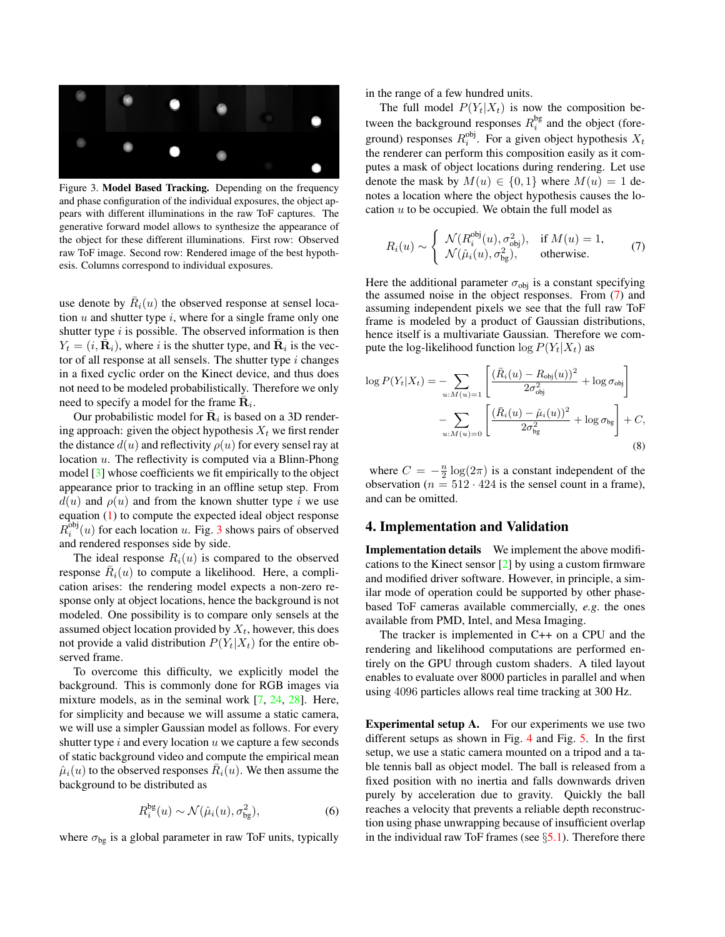<span id="page-3-3"></span>

<span id="page-3-0"></span>Figure 3. Model Based Tracking. Depending on the frequency and phase configuration of the individual exposures, the object appears with different illuminations in the raw ToF captures. The generative forward model allows to synthesize the appearance of the object for these different illuminations. First row: Observed raw ToF image. Second row: Rendered image of the best hypothesis. Columns correspond to individual exposures.

use denote by  $\bar{R}_i(u)$  the observed response at sensel location  $u$  and shutter type  $i$ , where for a single frame only one shutter type  $i$  is possible. The observed information is then  $Y_t = (i, \dot{\bar{\mathbf{R}}}_i)$ , where i is the shutter type, and  $\bar{\mathbf{R}}_i$  is the vector of all response at all sensels. The shutter type  $i$  changes in a fixed cyclic order on the Kinect device, and thus does not need to be modeled probabilistically. Therefore we only need to specify a model for the frame  $\dot{\bar{\mathbf{R}}}_i$ .

Our probabilistic model for  $\overline{R}_i$  is based on a 3D rendering approach: given the object hypothesis  $X_t$  we first render the distance  $d(u)$  and reflectivity  $\rho(u)$  for every sensel ray at location  $u$ . The reflectivity is computed via a Blinn-Phong model [\[3\]](#page-7-11) whose coefficients we fit empirically to the object appearance prior to tracking in an offline setup step. From  $d(u)$  and  $p(u)$  and from the known shutter type i we use equation [\(1\)](#page-1-2) to compute the expected ideal object response  $R_i^{\text{obj}}(u)$  for each location u. Fig. [3](#page-3-0) shows pairs of observed and rendered responses side by side.

The ideal response  $R_i(u)$  is compared to the observed response  $\overline{R}_i(u)$  to compute a likelihood. Here, a complication arises: the rendering model expects a non-zero response only at object locations, hence the background is not modeled. One possibility is to compare only sensels at the assumed object location provided by  $X_t$ , however, this does not provide a valid distribution  $P(Y_t|X_t)$  for the entire observed frame.

To overcome this difficulty, we explicitly model the background. This is commonly done for RGB images via mixture models, as in the seminal work [\[7,](#page-7-12) [24,](#page-8-12) [28\]](#page-8-13). Here, for simplicity and because we will assume a static camera, we will use a simpler Gaussian model as follows. For every shutter type  $i$  and every location  $u$  we capture a few seconds of static background video and compute the empirical mean  $\hat{\mu}_i(u)$  to the observed responses  $\overline{R}_i(u)$ . We then assume the background to be distributed as

$$
R_i^{\text{bg}}(u) \sim \mathcal{N}(\hat{\mu}_i(u), \sigma_{\text{bg}}^2),\tag{6}
$$

where  $\sigma_{bg}$  is a global parameter in raw ToF units, typically

in the range of a few hundred units.

The full model  $P(Y_t|X_t)$  is now the composition between the background responses  $R_i^{\text{bg}}$  and the object (foreground) responses  $R_i^{\text{obj}}$ . For a given object hypothesis  $X_t$ the renderer can perform this composition easily as it computes a mask of object locations during rendering. Let use denote the mask by  $M(u) \in \{0,1\}$  where  $M(u) = 1$  denotes a location where the object hypothesis causes the location  $u$  to be occupied. We obtain the full model as

<span id="page-3-1"></span>
$$
R_i(u) \sim \begin{cases} \mathcal{N}(R_i^{\text{obj}}(u), \sigma_{\text{obj}}^2), & \text{if } M(u) = 1, \\ \mathcal{N}(\hat{\mu}_i(u), \sigma_{\text{bg}}^2), & \text{otherwise.} \end{cases}
$$
(7)

Here the additional parameter  $\sigma_{obj}$  is a constant specifying the assumed noise in the object responses. From [\(7\)](#page-3-1) and assuming independent pixels we see that the full raw ToF frame is modeled by a product of Gaussian distributions, hence itself is a multivariate Gaussian. Therefore we compute the log-likelihood function  $\log P(Y_t|X_t)$  as

$$
\log P(Y_t|X_t) = -\sum_{u:M(u)=1} \left[ \frac{(\bar{R}_i(u) - R_{\text{obj}}(u))^2}{2\sigma_{\text{obj}}^2} + \log \sigma_{\text{obj}} \right] -\sum_{u:M(u)=0} \left[ \frac{(\bar{R}_i(u) - \hat{\mu}_i(u))^2}{2\sigma_{\text{bg}}^2} + \log \sigma_{\text{bg}} \right] + C,
$$
\n(8)

<span id="page-3-2"></span>where  $C = -\frac{n}{2} \log(2\pi)$  is a constant independent of the observation ( $n = 512 \cdot 424$  is the sensel count in a frame), and can be omitted.

# 4. Implementation and Validation

Implementation details We implement the above modifications to the Kinect sensor [\[2\]](#page-7-3) by using a custom firmware and modified driver software. However, in principle, a similar mode of operation could be supported by other phasebased ToF cameras available commercially, *e.g*. the ones available from PMD, Intel, and Mesa Imaging.

The tracker is implemented in C++ on a CPU and the rendering and likelihood computations are performed entirely on the GPU through custom shaders. A tiled layout enables to evaluate over 8000 particles in parallel and when using 4096 particles allows real time tracking at 300 Hz.

Experimental setup A. For our experiments we use two different setups as shown in Fig. [4](#page-4-0) and Fig. [5.](#page-4-1) In the first setup, we use a static camera mounted on a tripod and a table tennis ball as object model. The ball is released from a fixed position with no inertia and falls downwards driven purely by acceleration due to gravity. Quickly the ball reaches a velocity that prevents a reliable depth reconstruction using phase unwrapping because of insufficient overlap in the individual raw ToF frames (see  $\S$ [5.1\)](#page-5-0). Therefore there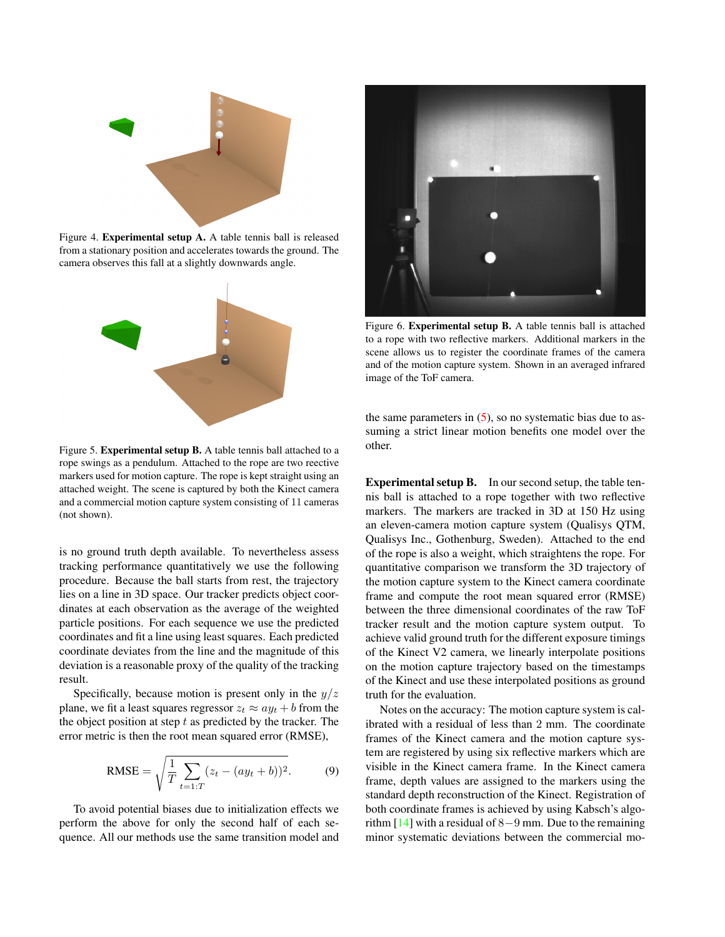<span id="page-4-2"></span>

<span id="page-4-0"></span>Figure 4. Experimental setup A. A table tennis ball is released from a stationary position and accelerates towards the ground. The camera observes this fall at a slightly downwards angle.



<span id="page-4-1"></span>Figure 5. Experimental setup B. A table tennis ball attached to a rope swings as a pendulum. Attached to the rope are two reective markers used for motion capture. The rope is kept straight using an attached weight. The scene is captured by both the Kinect camera and a commercial motion capture system consisting of 11 cameras (not shown).

is no ground truth depth available. To nevertheless assess tracking performance quantitatively we use the following procedure. Because the ball starts from rest, the trajectory lies on a line in 3D space. Our tracker predicts object coordinates at each observation as the average of the weighted particle positions. For each sequence we use the predicted coordinates and fit a line using least squares. Each predicted coordinate deviates from the line and the magnitude of this deviation is a reasonable proxy of the quality of the tracking result.

Specifically, because motion is present only in the  $y/z$ plane, we fit a least squares regressor  $z_t \approx ay_t + b$  from the the object position at step  $t$  as predicted by the tracker. The error metric is then the root mean squared error (RMSE),

RMSE = 
$$
\sqrt{\frac{1}{T} \sum_{t=1:T} (z_t - (ay_t + b))^2}
$$
. (9)

To avoid potential biases due to initialization effects we perform the above for only the second half of each sequence. All our methods use the same transition model and



Figure 6. Experimental setup B. A table tennis ball is attached to a rope with two reflective markers. Additional markers in the scene allows us to register the coordinate frames of the camera and of the motion capture system. Shown in an averaged infrared image of the ToF camera.

the same parameters in  $(5)$ , so no systematic bias due to assuming a strict linear motion benefits one model over the other.

Experimental setup B. In our second setup, the table tennis ball is attached to a rope together with two reflective markers. The markers are tracked in 3D at 150 Hz using an eleven-camera motion capture system (Qualisys QTM, Qualisys Inc., Gothenburg, Sweden). Attached to the end of the rope is also a weight, which straightens the rope. For quantitative comparison we transform the 3D trajectory of the motion capture system to the Kinect camera coordinate frame and compute the root mean squared error (RMSE) between the three dimensional coordinates of the raw ToF tracker result and the motion capture system output. To achieve valid ground truth for the different exposure timings of the Kinect V2 camera, we linearly interpolate positions on the motion capture trajectory based on the timestamps of the Kinect and use these interpolated positions as ground truth for the evaluation.

Notes on the accuracy: The motion capture system is calibrated with a residual of less than 2 mm. The coordinate frames of the Kinect camera and the motion capture system are registered by using six reflective markers which are visible in the Kinect camera frame. In the Kinect camera frame, depth values are assigned to the markers using the standard depth reconstruction of the Kinect. Registration of both coordinate frames is achieved by using Kabsch's algorithm [\[14\]](#page-7-13) with a residual of 8−9 mm. Due to the remaining minor systematic deviations between the commercial mo-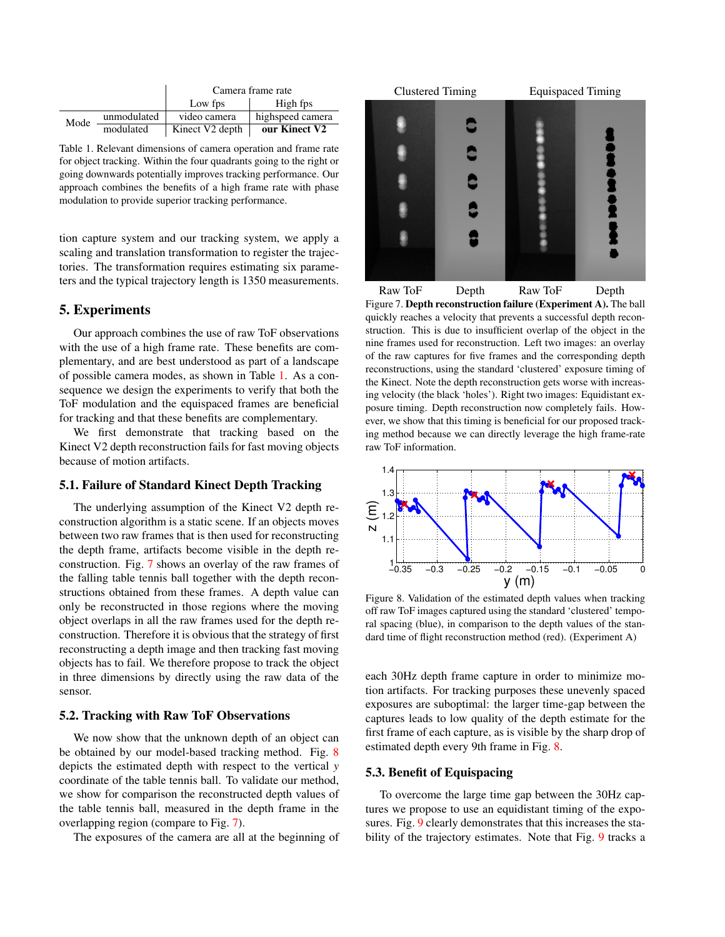|      |             | Camera frame rate |                  |  |
|------|-------------|-------------------|------------------|--|
|      |             | Low fps           | High fps         |  |
| Mode | unmodulated | video camera      | highspeed camera |  |
|      | modulated   | Kinect V2 depth   | our Kinect V2    |  |

<span id="page-5-1"></span>Table 1. Relevant dimensions of camera operation and frame rate for object tracking. Within the four quadrants going to the right or going downwards potentially improves tracking performance. Our approach combines the benefits of a high frame rate with phase modulation to provide superior tracking performance.

tion capture system and our tracking system, we apply a scaling and translation transformation to register the trajectories. The transformation requires estimating six parameters and the typical trajectory length is 1350 measurements.

# 5. Experiments

Our approach combines the use of raw ToF observations with the use of a high frame rate. These benefits are complementary, and are best understood as part of a landscape of possible camera modes, as shown in Table [1.](#page-5-1) As a consequence we design the experiments to verify that both the ToF modulation and the equispaced frames are beneficial for tracking and that these benefits are complementary.

We first demonstrate that tracking based on the Kinect V2 depth reconstruction fails for fast moving objects because of motion artifacts.

### <span id="page-5-0"></span>5.1. Failure of Standard Kinect Depth Tracking

The underlying assumption of the Kinect V2 depth reconstruction algorithm is a static scene. If an objects moves between two raw frames that is then used for reconstructing the depth frame, artifacts become visible in the depth reconstruction. Fig. [7](#page-5-2) shows an overlay of the raw frames of the falling table tennis ball together with the depth reconstructions obtained from these frames. A depth value can only be reconstructed in those regions where the moving object overlaps in all the raw frames used for the depth reconstruction. Therefore it is obvious that the strategy of first reconstructing a depth image and then tracking fast moving objects has to fail. We therefore propose to track the object in three dimensions by directly using the raw data of the sensor.

### 5.2. Tracking with Raw ToF Observations

We now show that the unknown depth of an object can be obtained by our model-based tracking method. Fig. [8](#page-5-3) depicts the estimated depth with respect to the vertical *y* coordinate of the table tennis ball. To validate our method, we show for comparison the reconstructed depth values of the table tennis ball, measured in the depth frame in the overlapping region (compare to Fig. [7\)](#page-5-2).

The exposures of the camera are all at the beginning of



<span id="page-5-2"></span>Figure 7. Depth reconstruction failure (Experiment A). The ball quickly reaches a velocity that prevents a successful depth reconstruction. This is due to insufficient overlap of the object in the nine frames used for reconstruction. Left two images: an overlay of the raw captures for five frames and the corresponding depth reconstructions, using the standard 'clustered' exposure timing of the Kinect. Note the depth reconstruction gets worse with increasing velocity (the black 'holes'). Right two images: Equidistant exposure timing. Depth reconstruction now completely fails. However, we show that this timing is beneficial for our proposed tracking method because we can directly leverage the high frame-rate raw ToF information.



<span id="page-5-3"></span>Figure 8. Validation of the estimated depth values when tracking off raw ToF images captured using the standard 'clustered' temporal spacing (blue), in comparison to the depth values of the standard time of flight reconstruction method (red). (Experiment A)

each 30Hz depth frame capture in order to minimize motion artifacts. For tracking purposes these unevenly spaced exposures are suboptimal: the larger time-gap between the captures leads to low quality of the depth estimate for the first frame of each capture, as is visible by the sharp drop of estimated depth every 9th frame in Fig. [8.](#page-5-3)

### 5.3. Benefit of Equispacing

To overcome the large time gap between the 30Hz captures we propose to use an equidistant timing of the exposures. Fig. [9](#page-6-0) clearly demonstrates that this increases the sta-bility of the trajectory estimates. Note that Fig. [9](#page-6-0) tracks a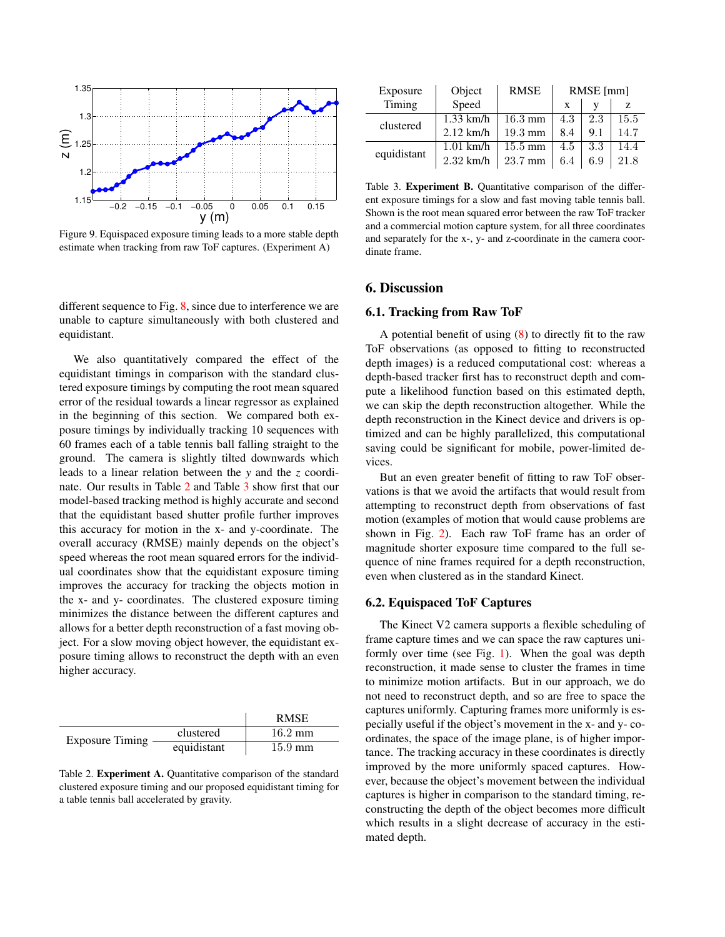

<span id="page-6-0"></span>Figure 9. Equispaced exposure timing leads to a more stable depth estimate when tracking from raw ToF captures. (Experiment A)

different sequence to Fig. [8,](#page-5-3) since due to interference we are unable to capture simultaneously with both clustered and equidistant.

We also quantitatively compared the effect of the equidistant timings in comparison with the standard clustered exposure timings by computing the root mean squared error of the residual towards a linear regressor as explained in the beginning of this section. We compared both exposure timings by individually tracking 10 sequences with 60 frames each of a table tennis ball falling straight to the ground. The camera is slightly tilted downwards which leads to a linear relation between the *y* and the *z* coordinate. Our results in Table [2](#page-6-1) and Table [3](#page-6-2) show first that our model-based tracking method is highly accurate and second that the equidistant based shutter profile further improves this accuracy for motion in the x- and y-coordinate. The overall accuracy (RMSE) mainly depends on the object's speed whereas the root mean squared errors for the individual coordinates show that the equidistant exposure timing improves the accuracy for tracking the objects motion in the x- and y- coordinates. The clustered exposure timing minimizes the distance between the different captures and allows for a better depth reconstruction of a fast moving object. For a slow moving object however, the equidistant exposure timing allows to reconstruct the depth with an even higher accuracy.

|                        |             | <b>RMSE</b>       |
|------------------------|-------------|-------------------|
| <b>Exposure Timing</b> | clustered   | $16.2 \text{ mm}$ |
|                        | equidistant | $15.9 \text{ mm}$ |

<span id="page-6-1"></span>Table 2. Experiment A. Quantitative comparison of the standard clustered exposure timing and our proposed equidistant timing for a table tennis ball accelerated by gravity.

| Exposure    | Object      | <b>RMSE</b>       | RMSE [mm] |     |      |
|-------------|-------------|-------------------|-----------|-----|------|
| Timing      | Speed       |                   | X         |     | Z    |
| clustered   | $1.33$ km/h | $16.3 \text{ mm}$ | 4.3       | 2.3 | 15.5 |
|             | $2.12$ km/h | 19.3 mm           | 8.4       | 9.1 | 14.7 |
| equidistant | $1.01$ km/h | $15.5 \text{ mm}$ | 4.5       | 3.3 | 14.4 |
|             | $2.32$ km/h | 23.7 mm           | 6.4       | 6.9 | 21.8 |

<span id="page-6-2"></span>Table 3. Experiment B. Quantitative comparison of the different exposure timings for a slow and fast moving table tennis ball. Shown is the root mean squared error between the raw ToF tracker and a commercial motion capture system, for all three coordinates and separately for the x-, y- and z-coordinate in the camera coordinate frame.

# 6. Discussion

#### 6.1. Tracking from Raw ToF

A potential benefit of using  $(8)$  to directly fit to the raw ToF observations (as opposed to fitting to reconstructed depth images) is a reduced computational cost: whereas a depth-based tracker first has to reconstruct depth and compute a likelihood function based on this estimated depth, we can skip the depth reconstruction altogether. While the depth reconstruction in the Kinect device and drivers is optimized and can be highly parallelized, this computational saving could be significant for mobile, power-limited devices.

But an even greater benefit of fitting to raw ToF observations is that we avoid the artifacts that would result from attempting to reconstruct depth from observations of fast motion (examples of motion that would cause problems are shown in Fig. [2\)](#page-1-0). Each raw ToF frame has an order of magnitude shorter exposure time compared to the full sequence of nine frames required for a depth reconstruction, even when clustered as in the standard Kinect.

#### 6.2. Equispaced ToF Captures

The Kinect V2 camera supports a flexible scheduling of frame capture times and we can space the raw captures uniformly over time (see Fig. [1\)](#page-0-0). When the goal was depth reconstruction, it made sense to cluster the frames in time to minimize motion artifacts. But in our approach, we do not need to reconstruct depth, and so are free to space the captures uniformly. Capturing frames more uniformly is especially useful if the object's movement in the x- and y- coordinates, the space of the image plane, is of higher importance. The tracking accuracy in these coordinates is directly improved by the more uniformly spaced captures. However, because the object's movement between the individual captures is higher in comparison to the standard timing, reconstructing the depth of the object becomes more difficult which results in a slight decrease of accuracy in the estimated depth.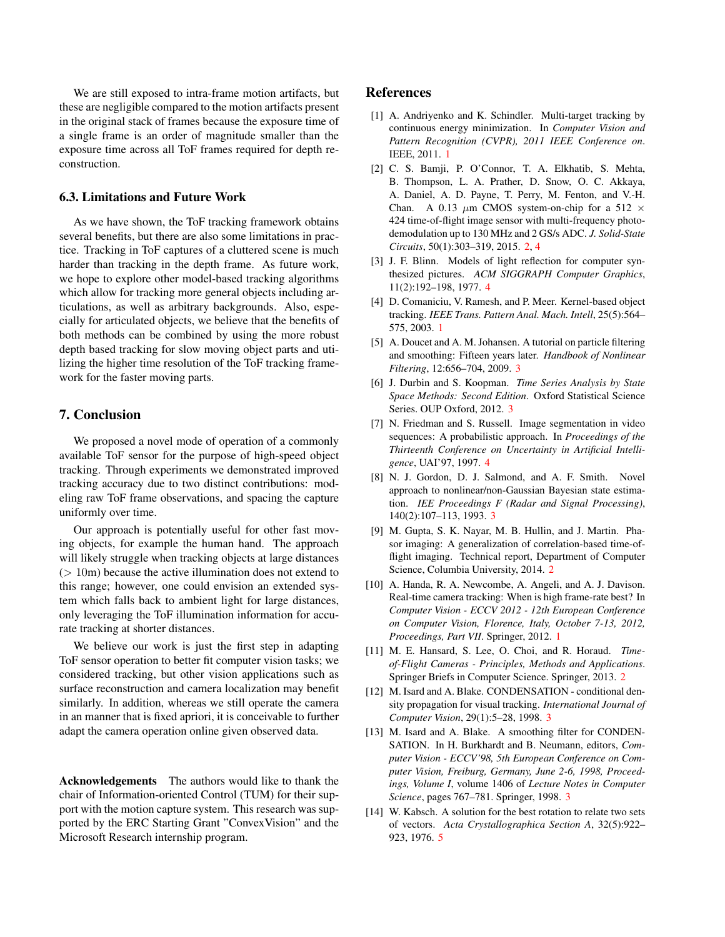We are still exposed to intra-frame motion artifacts, but these are negligible compared to the motion artifacts present in the original stack of frames because the exposure time of a single frame is an order of magnitude smaller than the exposure time across all ToF frames required for depth reconstruction.

### 6.3. Limitations and Future Work

As we have shown, the ToF tracking framework obtains several benefits, but there are also some limitations in practice. Tracking in ToF captures of a cluttered scene is much harder than tracking in the depth frame. As future work, we hope to explore other model-based tracking algorithms which allow for tracking more general objects including articulations, as well as arbitrary backgrounds. Also, especially for articulated objects, we believe that the benefits of both methods can be combined by using the more robust depth based tracking for slow moving object parts and utilizing the higher time resolution of the ToF tracking framework for the faster moving parts.

### 7. Conclusion

We proposed a novel mode of operation of a commonly available ToF sensor for the purpose of high-speed object tracking. Through experiments we demonstrated improved tracking accuracy due to two distinct contributions: modeling raw ToF frame observations, and spacing the capture uniformly over time.

Our approach is potentially useful for other fast moving objects, for example the human hand. The approach will likely struggle when tracking objects at large distances  $(10)$  because the active illumination does not extend to this range; however, one could envision an extended system which falls back to ambient light for large distances, only leveraging the ToF illumination information for accurate tracking at shorter distances.

We believe our work is just the first step in adapting ToF sensor operation to better fit computer vision tasks; we considered tracking, but other vision applications such as surface reconstruction and camera localization may benefit similarly. In addition, whereas we still operate the camera in an manner that is fixed apriori, it is conceivable to further adapt the camera operation online given observed data.

Acknowledgements The authors would like to thank the chair of Information-oriented Control (TUM) for their support with the motion capture system. This research was supported by the ERC Starting Grant "ConvexVision" and the Microsoft Research internship program.

### References

- <span id="page-7-1"></span>[1] A. Andriyenko and K. Schindler. Multi-target tracking by continuous energy minimization. In *Computer Vision and Pattern Recognition (CVPR), 2011 IEEE Conference on*. IEEE, 2011. [1](#page-0-1)
- <span id="page-7-3"></span>[2] C. S. Bamji, P. O'Connor, T. A. Elkhatib, S. Mehta, B. Thompson, L. A. Prather, D. Snow, O. C. Akkaya, A. Daniel, A. D. Payne, T. Perry, M. Fenton, and V.-H. Chan. A 0.13  $\mu$ m CMOS system-on-chip for a 512  $\times$ 424 time-of-flight image sensor with multi-frequency photodemodulation up to 130 MHz and 2 GS/s ADC. *J. Solid-State Circuits*, 50(1):303–319, 2015. [2,](#page-1-3) [4](#page-3-3)
- <span id="page-7-11"></span>[3] J. F. Blinn. Models of light reflection for computer synthesized pictures. *ACM SIGGRAPH Computer Graphics*, 11(2):192–198, 1977. [4](#page-3-3)
- <span id="page-7-0"></span>[4] D. Comaniciu, V. Ramesh, and P. Meer. Kernel-based object tracking. *IEEE Trans. Pattern Anal. Mach. Intell*, 25(5):564– 575, 2003. [1](#page-0-1)
- <span id="page-7-10"></span>[5] A. Doucet and A. M. Johansen. A tutorial on particle filtering and smoothing: Fifteen years later. *Handbook of Nonlinear Filtering*, 12:656–704, 2009. [3](#page-2-2)
- <span id="page-7-8"></span>[6] J. Durbin and S. Koopman. *Time Series Analysis by State Space Methods: Second Edition*. Oxford Statistical Science Series. OUP Oxford, 2012. [3](#page-2-2)
- <span id="page-7-12"></span>[7] N. Friedman and S. Russell. Image segmentation in video sequences: A probabilistic approach. In *Proceedings of the Thirteenth Conference on Uncertainty in Artificial Intelligence*, UAI'97, 1997. [4](#page-3-3)
- <span id="page-7-7"></span>[8] N. J. Gordon, D. J. Salmond, and A. F. Smith. Novel approach to nonlinear/non-Gaussian Bayesian state estimation. *IEE Proceedings F (Radar and Signal Processing)*, 140(2):107–113, 1993. [3](#page-2-2)
- <span id="page-7-5"></span>[9] M. Gupta, S. K. Nayar, M. B. Hullin, and J. Martin. Phasor imaging: A generalization of correlation-based time-offlight imaging. Technical report, Department of Computer Science, Columbia University, 2014. [2](#page-1-3)
- <span id="page-7-2"></span>[10] A. Handa, R. A. Newcombe, A. Angeli, and A. J. Davison. Real-time camera tracking: When is high frame-rate best? In *Computer Vision - ECCV 2012 - 12th European Conference on Computer Vision, Florence, Italy, October 7-13, 2012, Proceedings, Part VII*. Springer, 2012. [1](#page-0-1)
- <span id="page-7-4"></span>[11] M. E. Hansard, S. Lee, O. Choi, and R. Horaud. *Timeof-Flight Cameras - Principles, Methods and Applications*. Springer Briefs in Computer Science. Springer, 2013. [2](#page-1-3)
- <span id="page-7-6"></span>[12] M. Isard and A. Blake. CONDENSATION - conditional density propagation for visual tracking. *International Journal of Computer Vision*, 29(1):5–28, 1998. [3](#page-2-2)
- <span id="page-7-9"></span>[13] M. Isard and A. Blake. A smoothing filter for CONDEN-SATION. In H. Burkhardt and B. Neumann, editors, *Computer Vision - ECCV'98, 5th European Conference on Computer Vision, Freiburg, Germany, June 2-6, 1998, Proceedings, Volume I*, volume 1406 of *Lecture Notes in Computer Science*, pages 767–781. Springer, 1998. [3](#page-2-2)
- <span id="page-7-13"></span>[14] W. Kabsch. A solution for the best rotation to relate two sets of vectors. *Acta Crystallographica Section A*, 32(5):922– 923, 1976. [5](#page-4-2)